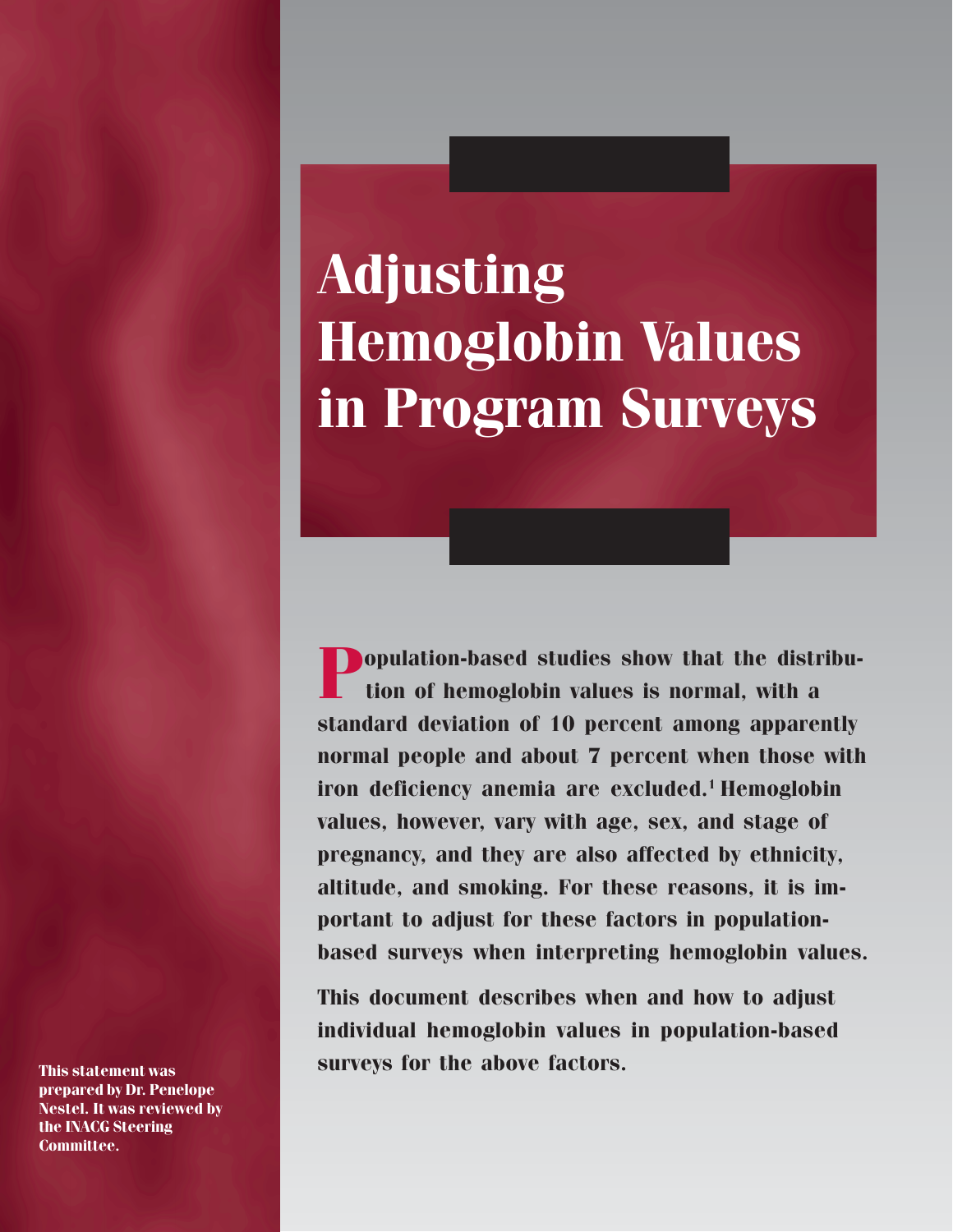# Adjusting Hemoglobin Values in Program Surveys

**Population-based studies show that the distribution of hemoglobin values is normal, with a standard deviation of 10 percent among apparently normal people and about 7 percent when those with iron deficiency anemia are excluded.1 Hemoglobin values, however, vary with age, sex, and stage of pregnancy, and they are also affected by ethnicity, altitude, and smoking. For these reasons, it is important to adjust for these factors in populationbased surveys when interpreting hemoglobin values.**

**This document describes when and how to adjust individual hemoglobin values in population-based surveys for the above factors.**

**This statement was prepared by Dr. Penelope Nestel. It was reviewed by the INACG Steering Committee.**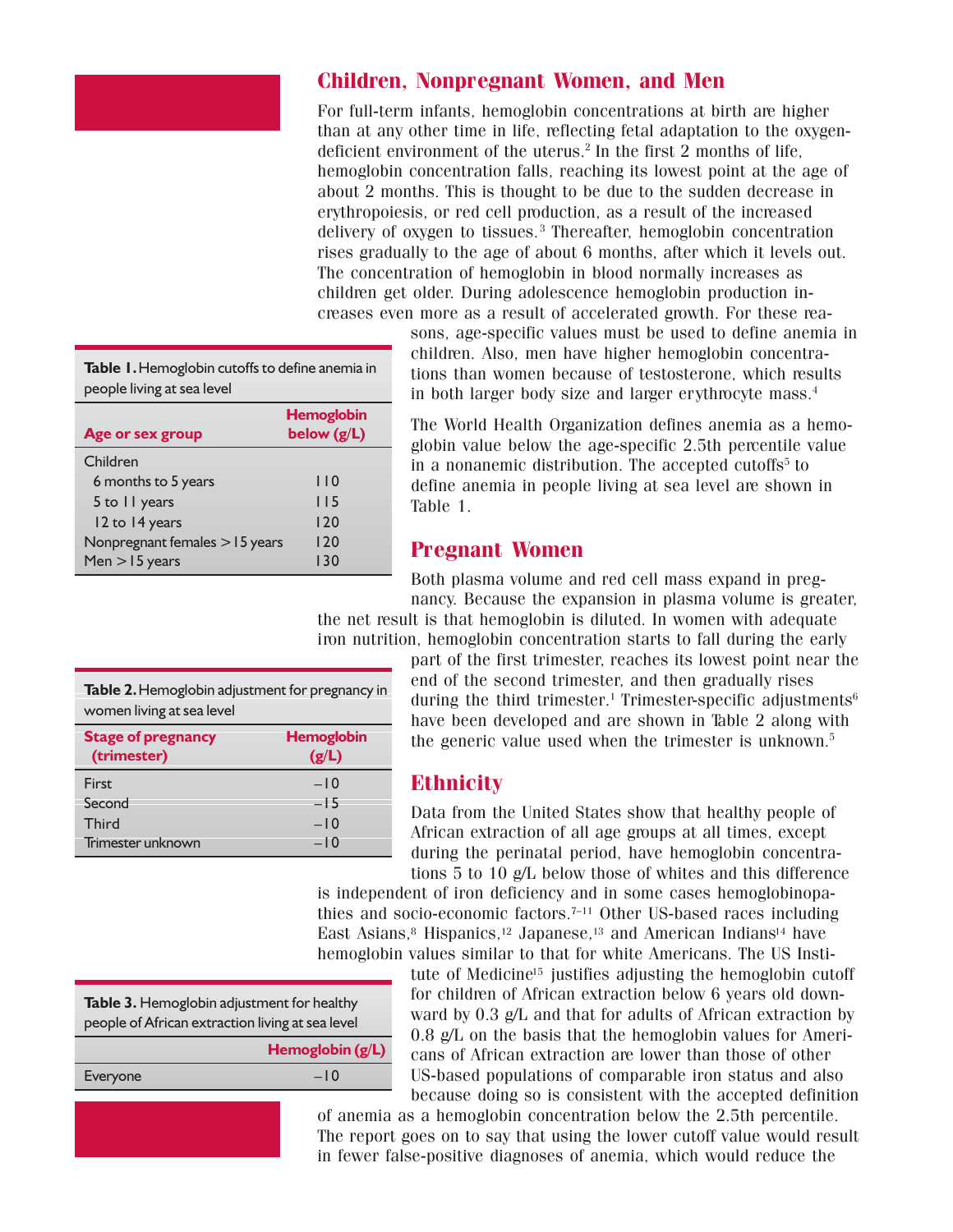#### Children, Nonpregnant Women, and Men

For full-term infants, hemoglobin concentrations at birth are higher than at any other time in life, reflecting fetal adaptation to the oxygendeficient environment of the uterus.2 In the first 2 months of life, hemoglobin concentration falls, reaching its lowest point at the age of about 2 months. This is thought to be due to the sudden decrease in erythropoiesis, or red cell production, as a result of the increased delivery of oxygen to tissues. <sup>3</sup> Thereafter, hemoglobin concentration rises gradually to the age of about 6 months, after which it levels out. The concentration of hemoglobin in blood normally increases as children get older. During adolescence hemoglobin production increases even more as a result of accelerated growth. For these rea-

> sons, age-specific values must be used to define anemia in children. Also, men have higher hemoglobin concentrations than women because of testosterone, which results in both larger body size and larger erythrocyte mass.4

The World Health Organization defines anemia as a hemoglobin value below the age-specific 2.5th percentile value in a nonanemic distribution. The accepted cutoffs<sup>5</sup> to define anemia in people living at sea level are shown in Table 1.

#### Pregnant Women

Both plasma volume and red cell mass expand in pregnancy. Because the expansion in plasma volume is greater, the net result is that hemoglobin is diluted. In women with adequate iron nutrition, hemoglobin concentration starts to fall during the early

> part of the first trimester, reaches its lowest point near the end of the second trimester, and then gradually rises during the third trimester.<sup>1</sup> Trimester-specific adjustments<sup>6</sup> have been developed and are shown in Table 2 along with the generic value used when the trimester is unknown.5

#### **Ethnicity**

Data from the United States show that healthy people of African extraction of all age groups at all times, except during the perinatal period, have hemoglobin concentrations 5 to 10 g/L below those of whites and this difference

is independent of iron deficiency and in some cases hemoglobinopathies and socio-economic factors.7–11 Other US-based races including East Asians,<sup>8</sup> Hispanics,<sup>12</sup> Japanese,<sup>13</sup> and American Indians<sup>14</sup> have hemoglobin values similar to that for white Americans. The US Insti-

> tute of Medicine15 justifies adjusting the hemoglobin cutoff for children of African extraction below 6 years old downward by 0.3 g/L and that for adults of African extraction by 0.8 g/L on the basis that the hemoglobin values for Americans of African extraction are lower than those of other US-based populations of comparable iron status and also because doing so is consistent with the accepted definition

of anemia as a hemoglobin concentration below the 2.5th percentile. The report goes on to say that using the lower cutoff value would result in fewer false-positive diagnoses of anemia, which would reduce the

Table 1. Hemoglobin cutoffs to define anemia in people living at sea level

| Age or sex group               | <b>Hemoglobin</b><br>below (g/L) |
|--------------------------------|----------------------------------|
| Children                       |                                  |
| 6 months to 5 years            | 110                              |
| 5 to 11 years                  | 115                              |
| 12 to 14 years                 | 120                              |
| Nonpregnant females > 15 years | 120                              |
| Men $>$ 15 years               | 130                              |

Table 2. Hemoglobin adjustment for pregnancy in

Stage of pregnancy **Hemoglobin** (trimester) (g/L) First –10 Second –15 Third –10 Trimester unknown –10

women living at sea level

Table 3. Hemoglobin adjustment for healthy people of African extraction living at sea level

Hemoglobin (g/L)

Everyone –10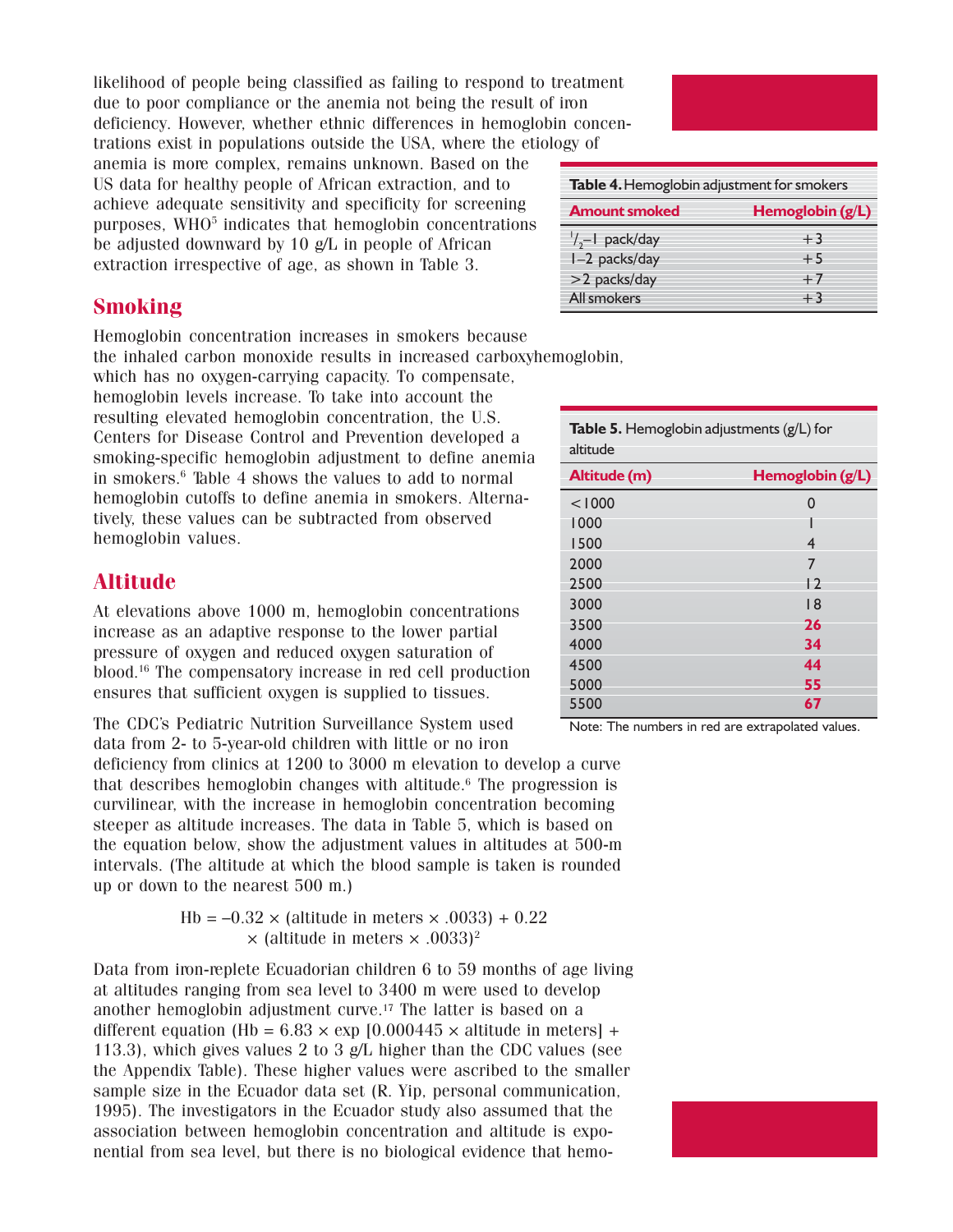likelihood of people being classified as failing to respond to treatment due to poor compliance or the anemia not being the result of iron deficiency. However, whether ethnic differences in hemoglobin concentrations exist in populations outside the USA, where the etiology of

anemia is more complex, remains unknown. Based on the US data for healthy people of African extraction, and to achieve adequate sensitivity and specificity for screening purposes, WHO<sup>5</sup> indicates that hemoglobin concentrations be adjusted downward by 10 g/L in people of African extraction irrespective of age, as shown in Table 3.

### Smoking

Hemoglobin concentration increases in smokers because

the inhaled carbon monoxide results in increased carboxyhemoglobin,

which has no oxygen-carrying capacity. To compensate, hemoglobin levels increase. To take into account the resulting elevated hemoglobin concentration, the U.S. Centers for Disease Control and Prevention developed a smoking-specific hemoglobin adjustment to define anemia in smokers.6 Table 4 shows the values to add to normal hemoglobin cutoffs to define anemia in smokers. Alternatively, these values can be subtracted from observed hemoglobin values.

# Altitude

At elevations above 1000 m, hemoglobin concentrations increase as an adaptive response to the lower partial pressure of oxygen and reduced oxygen saturation of blood.16 The compensatory increase in red cell production ensures that sufficient oxygen is supplied to tissues.

The CDC's Pediatric Nutrition Surveillance System used data from 2- to 5-year-old children with little or no iron

deficiency from clinics at 1200 to 3000 m elevation to develop a curve that describes hemoglobin changes with altitude.6 The progression is curvilinear, with the increase in hemoglobin concentration becoming steeper as altitude increases. The data in Table 5, which is based on the equation below, show the adjustment values in altitudes at 500-m intervals. (The altitude at which the blood sample is taken is rounded up or down to the nearest 500 m.)

> Hb =  $-0.32 \times$  (altitude in meters  $\times$  .0033) + 0.22  $\times$  (altitude in meters  $\times$  .0033)<sup>2</sup>

Data from iron-replete Ecuadorian children 6 to 59 months of age living at altitudes ranging from sea level to 3400 m were used to develop another hemoglobin adjustment curve.17 The latter is based on a different equation (Hb =  $6.83 \times \exp$  [0.000445  $\times$  altitude in meters] + 113.3), which gives values 2 to 3 g/L higher than the CDC values (see the Appendix Table). These higher values were ascribed to the smaller sample size in the Ecuador data set (R. Yip, personal communication, 1995). The investigators in the Ecuador study also assumed that the association between hemoglobin concentration and altitude is exponential from sea level, but there is no biological evidence that hemo-



Table 5. Hemoglobin adjustments  $(g/L)$  for altitude

| <b>Altitude (m)</b> | Hemoglobin (g/L) |
|---------------------|------------------|
| < 1000              | 0                |
| 1000                |                  |
| 1500                | 4                |
| 2000                | 7                |
| 2500                | $\overline{2}$   |
| 3000                | 18               |
| 3500                | 26               |
| 4000                | 34               |
| 4500                | 44               |
| 5000                | 55               |
| 5500                | 67               |

Note: The numbers in red are extrapolated values.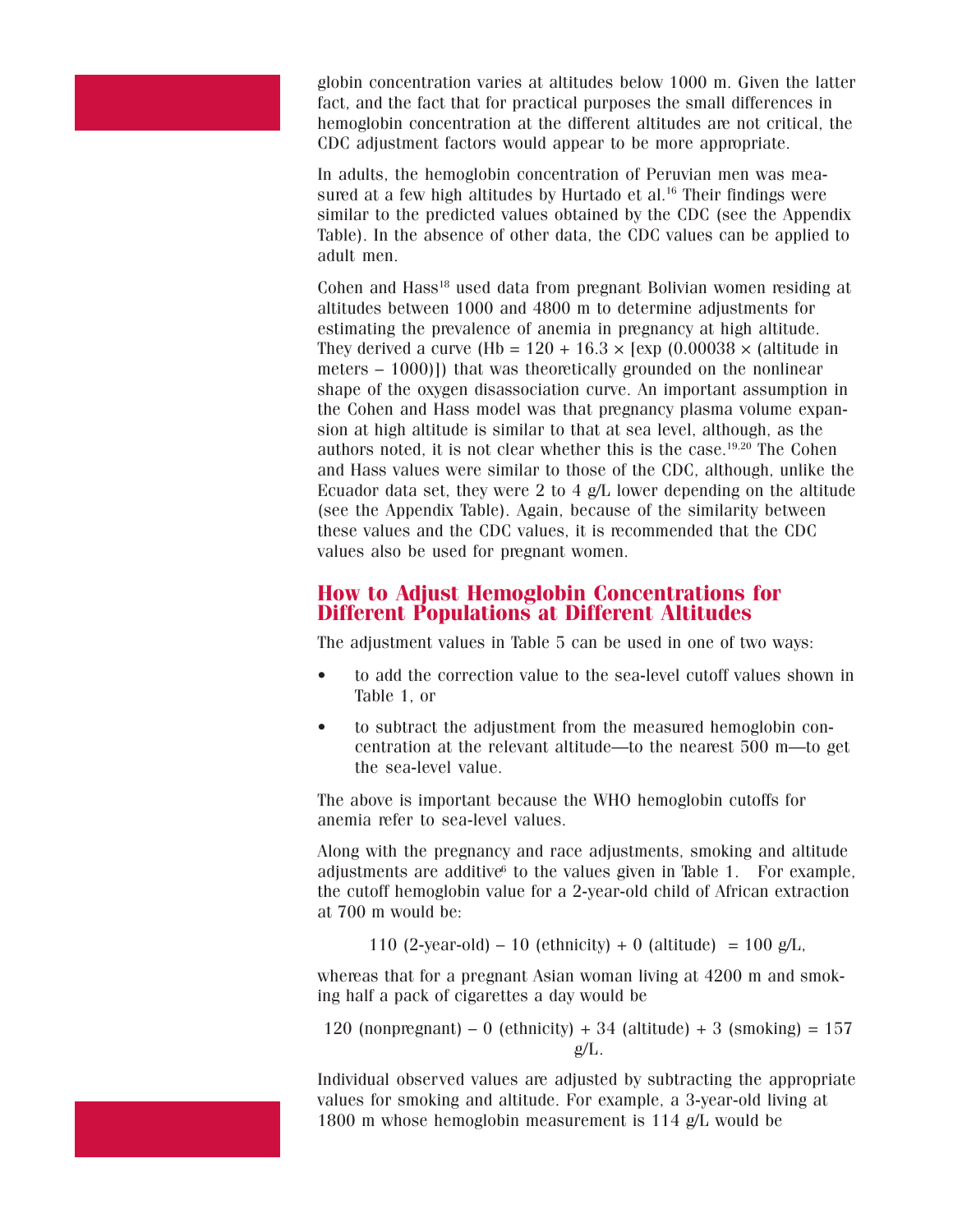globin concentration varies at altitudes below 1000 m. Given the latter fact, and the fact that for practical purposes the small differences in hemoglobin concentration at the different altitudes are not critical, the CDC adjustment factors would appear to be more appropriate.

In adults, the hemoglobin concentration of Peruvian men was measured at a few high altitudes by Hurtado et al.<sup>16</sup> Their findings were similar to the predicted values obtained by the CDC (see the Appendix Table). In the absence of other data, the CDC values can be applied to adult men.

Cohen and Hass<sup>18</sup> used data from pregnant Bolivian women residing at altitudes between 1000 and 4800 m to determine adjustments for estimating the prevalence of anemia in pregnancy at high altitude. They derived a curve (Hb =  $120 + 16.3 \times$  [exp (0.00038  $\times$  (altitude in meters – 1000)]) that was theoretically grounded on the nonlinear shape of the oxygen disassociation curve. An important assumption in the Cohen and Hass model was that pregnancy plasma volume expansion at high altitude is similar to that at sea level, although, as the authors noted, it is not clear whether this is the case.19,20 The Cohen and Hass values were similar to those of the CDC, although, unlike the Ecuador data set, they were 2 to 4 g/L lower depending on the altitude (see the Appendix Table). Again, because of the similarity between these values and the CDC values, it is recommended that the CDC values also be used for pregnant women.

#### How to Adjust Hemoglobin Concentrations for Different Populations at Different Altitudes

The adjustment values in Table 5 can be used in one of two ways:

- to add the correction value to the sea-level cutoff values shown in Table 1, or
- to subtract the adjustment from the measured hemoglobin concentration at the relevant altitude—to the nearest 500 m—to get the sea-level value.

The above is important because the WHO hemoglobin cutoffs for anemia refer to sea-level values.

Along with the pregnancy and race adjustments, smoking and altitude adjustments are additive $6$  to the values given in Table 1. For example, the cutoff hemoglobin value for a 2-year-old child of African extraction at 700 m would be:

110 (2-year-old) – 10 (ethnicity) + 0 (altitude) = 100 g/L,

whereas that for a pregnant Asian woman living at 4200 m and smoking half a pack of cigarettes a day would be

120 (nonpregnant) – 0 (ethnicity) + 34 (altitude) + 3 (smoking) =  $157$  $g/L$ .

Individual observed values are adjusted by subtracting the appropriate values for smoking and altitude. For example, a 3-year-old living at 1800 m whose hemoglobin measurement is 114 g/L would be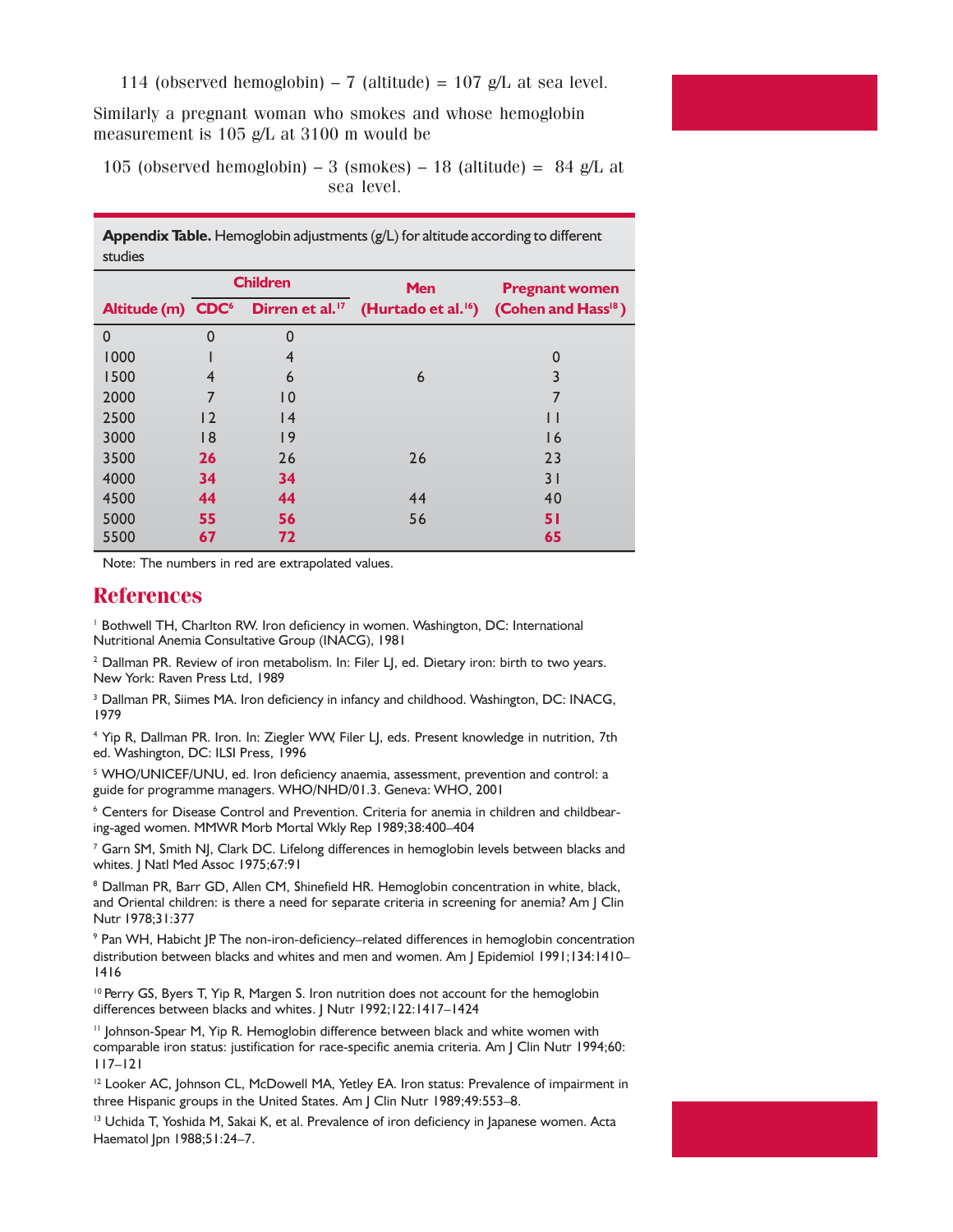#### 114 (observed hemoglobin) – 7 (altitude) =  $107 \text{ g/L}$  at sea level.

Similarly a pregnant woman who smokes and whose hemoglobin measurement is 105 g/L at 3100 m would be

105 (observed hemoglobin) – 3 (smokes) – 18 (altitude) =  $84 \text{ g/L}$  at sea level.

**Appendix Table.** Hemoglobin adjustments  $(g/L)$  for altitude according to different studies

| <b>Children</b> |                | <b>Men</b>      | <b>Pregnant women</b>                                                                     |                                 |
|-----------------|----------------|-----------------|-------------------------------------------------------------------------------------------|---------------------------------|
|                 |                |                 | Altitude (m) CDC <sup>6</sup> Dirren et al. <sup>17</sup> (Hurtado et al. <sup>16</sup> ) | (Cohen and Hass <sup>18</sup> ) |
| $\Omega$        | $\Omega$       | 0               |                                                                                           |                                 |
| 1000            |                | 4               |                                                                                           | 0                               |
| 1500            | 4              | 6               | 6                                                                                         | 3                               |
| 2000            | 7              | $\overline{10}$ |                                                                                           |                                 |
| 2500            | $\overline{2}$ | 4               |                                                                                           | $\mathsf{I}$                    |
| 3000            | 8              | 9               |                                                                                           | 16                              |
| 3500            | 26             | 26              | 26                                                                                        | 23                              |
| 4000            | 34             | 34              |                                                                                           | 3 <sub>1</sub>                  |
| 4500            | 44             | 44              | 44                                                                                        | 40                              |
| 5000            | 55             | 56              | 56                                                                                        | 51                              |
| 5500            | 67             | 72              |                                                                                           | 65                              |

Note: The numbers in red are extrapolated values.

#### References

<sup>1</sup> Bothwell TH, Charlton RW. Iron deficiency in women. Washington, DC: International Nutritional Anemia Consultative Group (INACG), 1981

<sup>2</sup> Dallman PR. Review of iron metabolism. In: Filer LJ, ed. Dietary iron: birth to two years. New York: Raven Press Ltd, 1989

<sup>3</sup> Dallman PR, Siimes MA. Iron deficiency in infancy and childhood. Washington, DC: INACG, 1979

<sup>4</sup> Yip R, Dallman PR. Iron. In: Ziegler WW, Filer LJ, eds. Present knowledge in nutrition, 7th ed. Washington, DC: ILSI Press, 1996

<sup>5</sup> WHO/UNICEF/UNU, ed. Iron deficiency anaemia, assessment, prevention and control: a guide for programme managers. WHO/NHD/01.3. Geneva: WHO, 2001

6 Centers for Disease Control and Prevention. Criteria for anemia in children and childbearing-aged women. MMWR Morb Mortal Wkly Rep 1989;38:400–404

<sup>7</sup> Garn SM, Smith NJ, Clark DC. Lifelong differences in hemoglobin levels between blacks and whites. J Natl Med Assoc 1975;67:91

<sup>8</sup> Dallman PR, Barr GD, Allen CM, Shinefield HR. Hemoglobin concentration in white, black, and Oriental children: is there a need for separate criteria in screening for anemia? Am J Clin Nutr 1978;31:377

<sup>9</sup> Pan WH, Habicht JP. The non-iron-deficiency-related differences in hemoglobin concentration distribution between blacks and whites and men and women. Am | Epidemiol 1991;134:1410-1416

 $10$  Perry GS, Byers T, Yip R, Margen S. Iron nutrition does not account for the hemoglobin differences between blacks and whites. J Nutr 1992;122:1417-1424

 $11$  Johnson-Spear M, Yip R. Hemoglobin difference between black and white women with comparable iron status: justification for race-specific anemia criteria. Am | Clin Nutr 1994;60: 117–121

<sup>12</sup> Looker AC, Johnson CL, McDowell MA, Yetley EA. Iron status: Prevalence of impairment in three Hispanic groups in the United States. Am J Clin Nutr 1989;49:553–8.

<sup>13</sup> Uchida T, Yoshida M, Sakai K, et al. Prevalence of iron deficiency in Japanese women. Acta Haematol Jpn 1988;51:24–7.